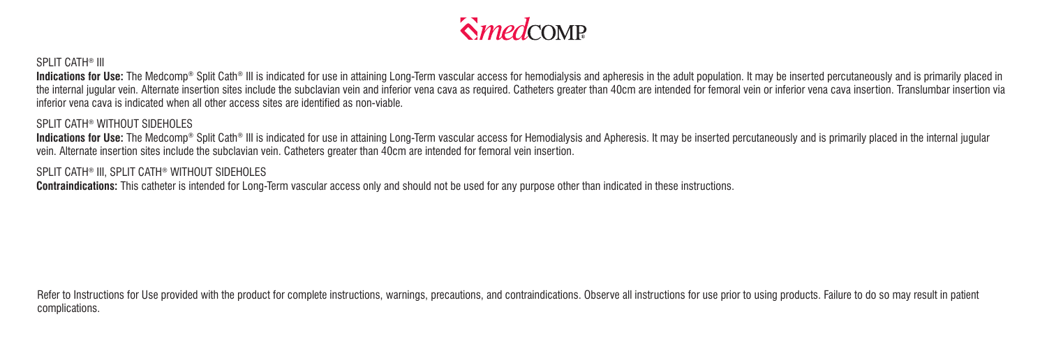

## SPLIT CATH® III

Indications for Use: The Medcomo® Solit Cath® III is indicated for use in attaining Long-Term vascular access for hemodialysis and apheresis in the adult population. It may be inserted percutaneously and is primarily place the internal jugular vein. Alternate insertion sites include the subclavian vein and inferior vena caya as required. Catheters greater than 40cm are intended for femoral vein or inferior vena caya insertion. Translumbar in inferior vena cava is indicated when all other access sites are identified as non-viable.

## SPLIT CATH® WITHOUT SIDEHOLES

Indications for Use: The Medcomp® Split Cath® III is indicated for use in attaining Long-Term vascular access for Hemodialysis and Apheresis. It may be inserted percutaneously and is primarily placed in the internal jugula vein. Alternate insertion sites include the subclavian vein. Catheters greater than 40cm are intended for femoral vein insertion.

## SPLIT CATH® III, SPLIT CATH® WITHOUT SIDEHOLES

**Contraindications:** This catheter is intended for Long-Term vascular access only and should not be used for any purpose other than indicated in these instructions.

Refer to Instructions for Use provided with the product for complete instructions, warnings, precautions, and contraindications. Observe all instructions for use prior to using products. Failure to do so may result in pati complications.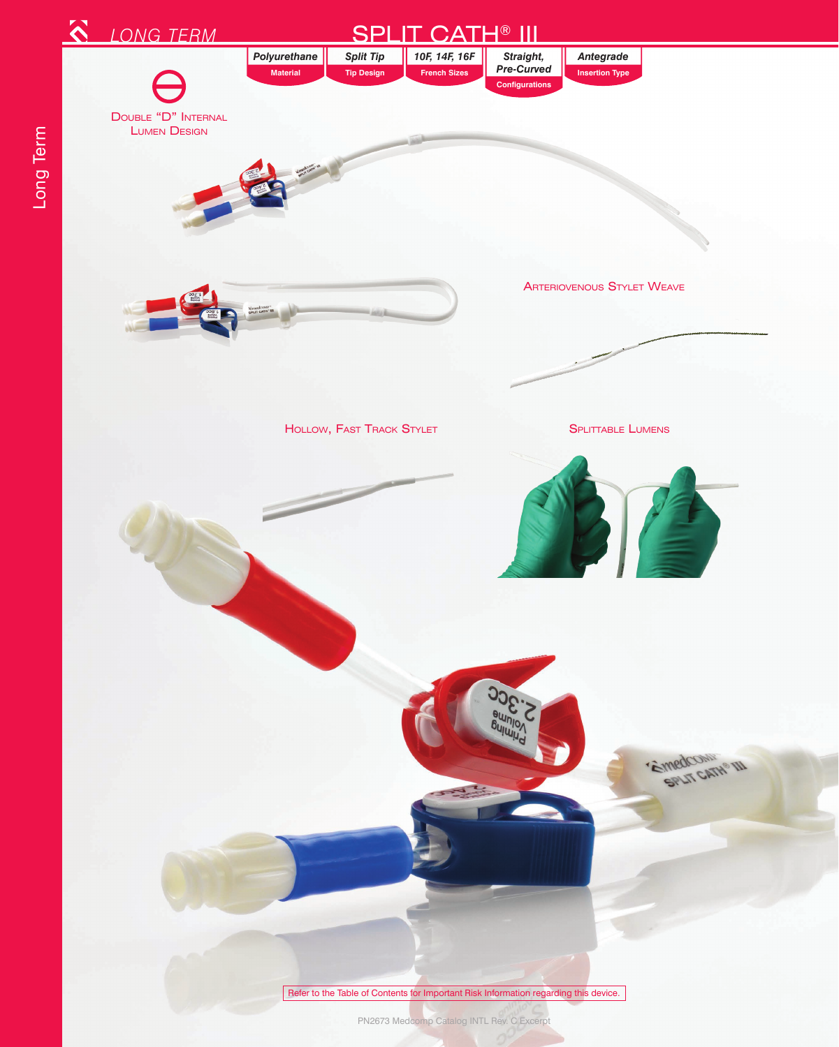